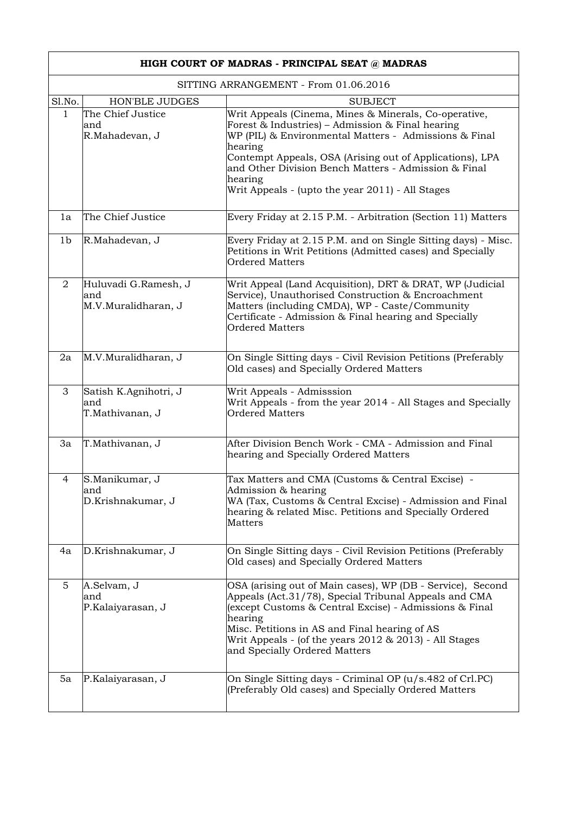| HIGH COURT OF MADRAS - PRINCIPAL SEAT @ MADRAS |                                                     |                                                                                                                                                                                                                                                                                                                                                                  |  |  |
|------------------------------------------------|-----------------------------------------------------|------------------------------------------------------------------------------------------------------------------------------------------------------------------------------------------------------------------------------------------------------------------------------------------------------------------------------------------------------------------|--|--|
| SITTING ARRANGEMENT - From 01.06.2016          |                                                     |                                                                                                                                                                                                                                                                                                                                                                  |  |  |
| Sl.No.                                         | <b>HON'BLE JUDGES</b>                               | <b>SUBJECT</b>                                                                                                                                                                                                                                                                                                                                                   |  |  |
| 1                                              | The Chief Justice<br>and<br>R.Mahadevan, J          | Writ Appeals (Cinema, Mines & Minerals, Co-operative,<br>Forest & Industries) - Admission & Final hearing<br>WP (PIL) & Environmental Matters - Admissions & Final<br>hearing<br>Contempt Appeals, OSA (Arising out of Applications), LPA<br>and Other Division Bench Matters - Admission & Final<br>hearing<br>Writ Appeals - (upto the year 2011) - All Stages |  |  |
| 1a                                             | The Chief Justice                                   | Every Friday at 2.15 P.M. - Arbitration (Section 11) Matters                                                                                                                                                                                                                                                                                                     |  |  |
| 1b                                             | R.Mahadevan, J                                      | Every Friday at 2.15 P.M. and on Single Sitting days) - Misc.<br>Petitions in Writ Petitions (Admitted cases) and Specially<br><b>Ordered Matters</b>                                                                                                                                                                                                            |  |  |
| 2                                              | Huluvadi G.Ramesh, J<br>land<br>M.V.Muralidharan, J | Writ Appeal (Land Acquisition), DRT & DRAT, WP (Judicial<br>Service), Unauthorised Construction & Encroachment<br>Matters (including CMDA), WP - Caste/Community<br>Certificate - Admission & Final hearing and Specially<br><b>Ordered Matters</b>                                                                                                              |  |  |
| 2a                                             | M.V.Muralidharan, J                                 | On Single Sitting days - Civil Revision Petitions (Preferably<br>Old cases) and Specially Ordered Matters                                                                                                                                                                                                                                                        |  |  |
| 3                                              | Satish K.Agnihotri, J<br>and<br>T.Mathivanan, J     | Writ Appeals - Admisssion<br>Writ Appeals - from the year 2014 - All Stages and Specially<br><b>Ordered Matters</b>                                                                                                                                                                                                                                              |  |  |
| 3a                                             | T.Mathivanan, J                                     | After Division Bench Work - CMA - Admission and Final<br>hearing and Specially Ordered Matters                                                                                                                                                                                                                                                                   |  |  |
| 4                                              | S.Manikumar, J<br>and<br>D.Krishnakumar, J          | Tax Matters and CMA (Customs & Central Excise) -<br>Admission & hearing<br>WA (Tax, Customs & Central Excise) - Admission and Final<br>hearing & related Misc. Petitions and Specially Ordered<br>Matters                                                                                                                                                        |  |  |
| 4a                                             | D.Krishnakumar, J                                   | On Single Sitting days - Civil Revision Petitions (Preferably<br>Old cases) and Specially Ordered Matters                                                                                                                                                                                                                                                        |  |  |
| 5                                              | A.Selvam, J<br>and<br>P.Kalaiyarasan, J             | OSA (arising out of Main cases), WP (DB - Service), Second<br>Appeals (Act.31/78), Special Tribunal Appeals and CMA<br>(except Customs & Central Excise) - Admissions & Final<br>hearing<br>Misc. Petitions in AS and Final hearing of AS<br>Writ Appeals - (of the years $2012 \& 2013$ ) - All Stages<br>and Specially Ordered Matters                         |  |  |
| 5a                                             | P.Kalaiyarasan, J                                   | On Single Sitting days - Criminal OP (u/s.482 of Crl.PC)<br>(Preferably Old cases) and Specially Ordered Matters                                                                                                                                                                                                                                                 |  |  |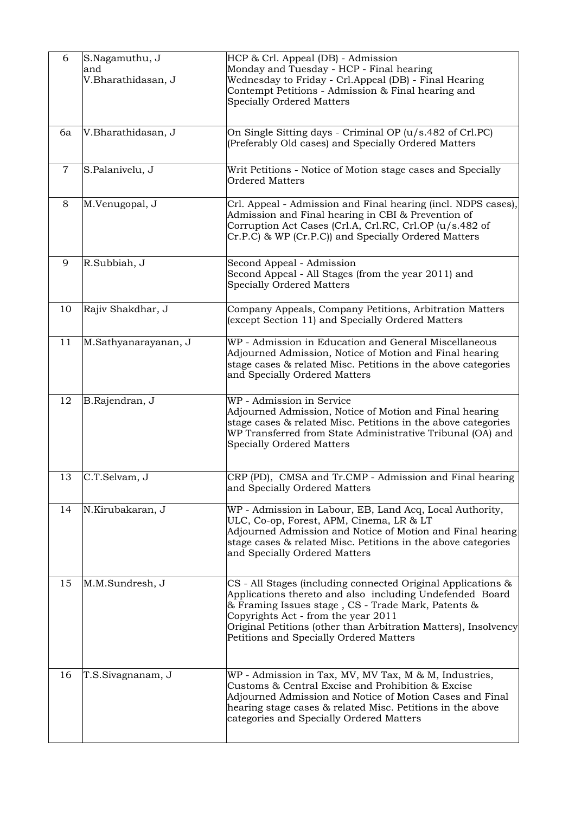| 6              | S.Nagamuthu, J<br>and<br>V.Bharathidasan, J | HCP & Crl. Appeal (DB) - Admission<br>Monday and Tuesday - HCP - Final hearing<br>Wednesday to Friday - Crl.Appeal (DB) - Final Hearing<br>Contempt Petitions - Admission & Final hearing and<br><b>Specially Ordered Matters</b>                                                                                                   |
|----------------|---------------------------------------------|-------------------------------------------------------------------------------------------------------------------------------------------------------------------------------------------------------------------------------------------------------------------------------------------------------------------------------------|
| 6a             | V.Bharathidasan, J                          | On Single Sitting days - Criminal OP (u/s.482 of Crl.PC)<br>(Preferably Old cases) and Specially Ordered Matters                                                                                                                                                                                                                    |
| $\overline{7}$ | S.Palanivelu, J                             | Writ Petitions - Notice of Motion stage cases and Specially<br><b>Ordered Matters</b>                                                                                                                                                                                                                                               |
| 8              | M.Venugopal, J                              | Crl. Appeal - Admission and Final hearing (incl. NDPS cases),<br>Admission and Final hearing in CBI & Prevention of<br>Corruption Act Cases (Crl.A, Crl.RC, Crl.OP (u/s.482 of<br>Cr.P.C) & WP (Cr.P.C)) and Specially Ordered Matters                                                                                              |
| 9              | R.Subbiah, J                                | Second Appeal - Admission<br>Second Appeal - All Stages (from the year 2011) and<br><b>Specially Ordered Matters</b>                                                                                                                                                                                                                |
| 10             | Rajiv Shakdhar, J                           | Company Appeals, Company Petitions, Arbitration Matters<br>(except Section 11) and Specially Ordered Matters                                                                                                                                                                                                                        |
| 11             | M.Sathyanarayanan, J                        | WP - Admission in Education and General Miscellaneous<br>Adjourned Admission, Notice of Motion and Final hearing<br>stage cases & related Misc. Petitions in the above categories<br>and Specially Ordered Matters                                                                                                                  |
| 12             | B.Rajendran, J                              | WP - Admission in Service<br>Adjourned Admission, Notice of Motion and Final hearing<br>stage cases & related Misc. Petitions in the above categories<br>WP Transferred from State Administrative Tribunal (OA) and<br><b>Specially Ordered Matters</b>                                                                             |
| 13             | C.T.Selvam, J                               | CRP (PD), CMSA and Tr.CMP - Admission and Final hearing<br>and Specially Ordered Matters                                                                                                                                                                                                                                            |
| 14             | N.Kirubakaran, J                            | WP - Admission in Labour, EB, Land Acq, Local Authority,<br>ULC, Co-op, Forest, APM, Cinema, LR & LT<br>Adjourned Admission and Notice of Motion and Final hearing<br>stage cases & related Misc. Petitions in the above categories<br>and Specially Ordered Matters                                                                |
| 15             | M.M.Sundresh, J                             | CS - All Stages (including connected Original Applications &<br>Applications thereto and also including Undefended Board<br>& Framing Issues stage, CS - Trade Mark, Patents &<br>Copyrights Act - from the year 2011<br>Original Petitions (other than Arbitration Matters), Insolvency<br>Petitions and Specially Ordered Matters |
| 16             | T.S.Sivagnanam, J                           | WP - Admission in Tax, MV, MV Tax, M & M, Industries,<br>Customs & Central Excise and Prohibition & Excise<br>Adjourned Admission and Notice of Motion Cases and Final<br>hearing stage cases & related Misc. Petitions in the above<br>categories and Specially Ordered Matters                                                    |